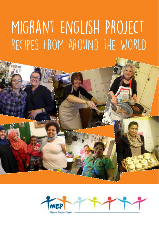### Migrant English Project recipes from around the world



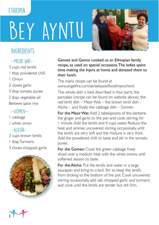## Bey Ayntu ethiopia



#### -MESIR WAT-

3 cups red lentils 1 tbsp powdered chilli

1 Onion

2 cloves garlic

3 tbsp tomato puree

2 tbsp vegetable oil Berbere spice mix

#### $-60$ MFN $-$

1 cabbage 1 white onion

#### $-$ ALICHA $-$

3 cups brown lentils

- 1 tbsp Turmeric
- 3 cloves chopped garlic



Gennet and Genno cooked us an Ethiopian family recipe, as used on special occasions. The ladies spent time making the Injera at home and donated them to their lunch.

The injera recipe can be found at www.angelfre.com/ak/sellassie/food/injera.html.

The whole dish is best described in four parts, the pancakes (recipe can be found on website above), the red lentil dish – Mesir Wat – the brown lentil dish – Alicha – and finally the cabbage dish – Gomen.

For the Mesir Wat: Add 2 tablespoons of the berbere, the ginger and garlic to the pan and cook, stirring, for 1 minute. Add the lentils and 4 cups water. Reduce the heat and simmer, uncovered, stirring occasionally, until the lentils are very soft and the mixture is very thick. Add the powdered chilli to taste and stir in the tomato puree.

For the Gomen: Cook the green cabbage finely sliced over a medium heat with the white onions until softened, season to taste.

For the Alicha: Put the lentils and water in a large saucepan and bring to a boil. Stir to keep the lentils from sticking to the bottom of the pot. Cook uncovered, stirring occasionally, add salt, chopped garlic and turmeric and cook until the lentils are tender but still frm.

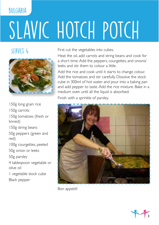# SLAVIC HOTCH POTCH

#### SERVES<sub>4</sub>

**BULGARIA** 



150g long grain rice 150g carrots 150g tomatoes (fresh or tinned) 150g string beans 50g peppers (green and red) 100g courgettes, peeled 50g onion or leeks 50g parsley 4 tablespoon vegetable or olive oil 1 vegetable stock cube Black pepper

First cut the vegetables into cubes.

Heat the oil, add carrots and string beans and cook for a short time. Add the peppers, courgettes, and onions/ leeks and stir them to colour a little.

Add the rice and cook until it starts to change colour. Add the tomatoes and stir carefully. Dissolve the stock cube in 300ml of hot water and pour into a baking pan and add pepper to taste. Add the rice mixture. Bake in a medium oven until all the liquid is absorbed.

Finish with a sprinkle of parsley.



Bon appetit!

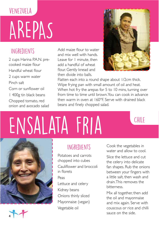## AREPAS venezuela

#### Ingredients

2 cups Harina P.A.N. precooked maize four Handful wheat flour 2 cups warm water Pinch salt Corn or sunfower oil 1 400g tin black beans

Chopped tomato, red onion and avocado salad

Add maize flour to water and mix well with hands. Leave for 1 minute, then add a handful of wheat flour. Gently knead and then divide into balls.



Flatten each into a round shape about 1/2cm thick. Wipe frying pan with small amount of oil and heat. When hot fry the arepas for 5 to 10 mins, turning over from time to time until brown. You can cook in advance then warm in oven at 160°F. Serve with drained black beans and fnely chopped salad.

## ENSALATA FRIA





#### Ingredients

Potatoes and carrots chopped into cubes Caulifower and broccoli in florets Peas Lettuce and celery Kidney beans Onions thinly sliced Mayonnaise (vegan) Vegetable oil

Cook the vegetables in water and allow to cool. Slice the lettuce and cut the celery into delicate fan shapes. Rub the onions between your fingers with a little salt, then wash and drain. This removes the bitterness.

Mix all together, then add the oil and mayonnaise and mix again. Serve with couscous or rice and chilli sauce on the side.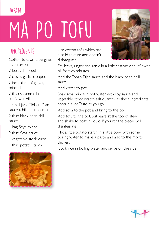## PO TOFU *JAPAN*

#### Ingredients

Cotton tofu, or aubergines if you prefer

2 leeks, chopped

2 cloves garlic, clopped

2 inch piece of ginger, minced

2 tbsp sesame oil or sunflower oil

1 small jar of Toben Djan sauce (chilli bean sauce)

2 tbsp black bean chilli sauce

1 bag Soya mince

2 tbsp Soya sauce

1 vegetable stock cube

1 tbsp potato starch



Use cotton tofu, which has a solid texture and doesn't disintegrate.

Fry leeks, ginger and garlic in a little sesame or sunflower oil for two minutes.

Add the Toban Djan sauce and the black bean chilli sauce.

Add water to pot.

Soak soya mince in hot water with soy sauce and vegetable stock. Watch salt quantity as these ingredients contain a lot. Taste as you go.

Add soya to the pot and bring to the boil.

Add tofu to the pot, but leave at the top of stew and shake to coat in liquid. If you stir the pieces will disintegrate.

Mix a little potato starch in a little bowl with some boiling water to make a paste and add to the mix to thicken.

Cook rice in boiling water and serve on the side.



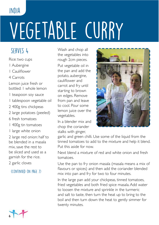#### india

## Vegetable curry

#### serves 4

Rice: two cups

- 1 Aubergine
- 1 Caulifower
- 4 Carrots

Lemon juice fresh or bottled: 1 whole lemon

- 1 teaspoon soy sauce
- 1 tablespoon vegetable oil
- 2 400g tins chickpeas
- 2 large potatoes (peeled)
- 6 fresh tomatoes
- 1 400g tin tomatoes
- 1 large white onion

2 large red onion: half to be blended in a masala mix, save the rest to be sliced and used as a garnish for the rice.

2 garlic cloves

(Continued on page 7)



Wash and chop all the vegetables into rough 2cm pieces. Put vegetable oil in the pan and add the potato, aubergine, caulifower and carrot and fry until starting to brown on edges. Remove from pan and leave to cool. Pour some lemon juice over the vegetables.

In a blender mix and chop the coriander stalks with ginger,



garlic and green chilli. Use some of the liquid from the tinned tomatoes to add to the mixture and help it blend. Put this aside for now.

Next blend a mixture of red and white onion and fresh tomatoes.

Use the pan to fry onion masala (masala means a mix of favours or spices) and then add the coriander blended mix into pan and fry for two to four minutes.

In the large pan add your chickpeas, tinned tomatoes, fried vegetables and both fried spice masala. Add water to loosen the mixture and sprinkle in the turmeric and salt to taste, then turn the heat up to bring to the boil and then turn down the heat to gently simmer for twenty minutes.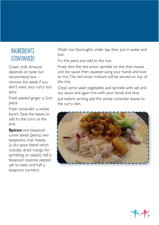#### Ingredients (continued)

Green chilli. Amount depends on taste but recommend two – remove the seeds if you don't want your curry too spicy

Fresh peeled ginger: a 2cm piece

Fresh coriander: a whole bunch. Save the leaves to add to the curry at the end.

**Spices:** one teaspoon cumin seeds (Jeera), two teaspoons chat masala (a dry spice blend which includes dried mango for sprinkling on salads), half a teaspoon cayenne pepper, salt to taste, and half a teaspoon turmeric.

Wash rice thoroughly under tap, then put in water and boil.

Fry the jeera and add to the rice.

Finely slice the red onion, sprinkle on the chat masala and soy sauce then squeeze using your hands and love to mix. The red onion mixture will be served on top of the rice.

Chop some salad vegetables and sprinkle with salt and soy sauce and again mix with your hands and love. Just before serving add the whole coriander leaves to the curry dish.



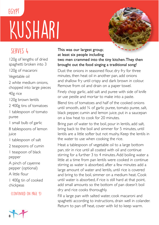### KUSHARI **EGYPT**

#### serves 4

120g of lengths of dried spaghetti broken into 3 120g of macaroni

Vegetable oil

2 white medium onions, chopped into large pieces 40g rice

120g brown lentils

2 400g tins of tomatoes

1 tablespoon of tomato puree

1 small bulb of garlic

8 tablespoons of lemon juice

1 tablespoon of salt

2 teaspoons of cumin

1 teaspoon of black pepper

A pinch of cayenne pepper (optional)

A little flour

1 400g tin of cooked chickpeas

(Continued on page 9)



#### This was our largest group; at least six people including two men crammed into the tiny kitchen. They then brought out the food singing a traditional song!

Dust the onions in seasoned flour, dry fry for three minutes, then heat oil in another pan, add onions and shallow fry until crispy and dark brown in colour. Remove from oil and drain on a paper towel.

Finely chop garlic, add salt and puree with side of knife or use pestle and mortar to make into a paste.

Blend tins of tomatoes and half of the cooked onions until smooth, add  $\frac{3}{4}$  of garlic puree, tomato puree, salt, black pepper, cumin and lemon juice, put in a saucepan on a low heat to cook for 20 minutes.

Bring pan of water to the boil, pour in lentils, add salt, bring back to the boil and simmer for 5 minutes, until lentils are a little softer but not mushy. Keep the lentils in the water to use when cooking the rice.

Heat a tablespoon of vegetable oil to a large bottom pan, stir in rice until all coated with oil and continue stirring for a further 3 to 4 minutes. Add boiling water a little at a time from pan lentils were cooked in continue stirring as water is absorbed, after a few minutes add a large amount of water and lentils, until rice is covered and bring to the boil, simmer on a medium heat. Cook until water is absorbed, if rice is still hard at that point, add small amounts so the bottom of pan doesn't boil dry and rice cooks thoroughly.

Fill a large pan with salted water, cook macaroni and spaghetti according to instructions, drain well in colander. Return to pan off heat, cover with lid to keep warm.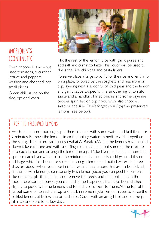

#### **INGREDIENTS** (continued)

Fresh chopped salad – we used tomatoes, cucumber, lettuce and peppers washed and chopped into small pieces.

Green chilli sauce on the side, optional extra

Mix the rest of the lemon juice with garlic puree and add salt and cumin to taste. This liquor will be used to dress the rice, chickpea and pasta layers.

To serve place a large spoonful of the rice and lentil mix on a plate, followed by the spaghetti and macaroni on top, layering next a spoonful of chickpeas and the lemon and garlic sauce topped with a smothering of tomato sauce and a handful of fried onions and some cayenne pepper sprinkled on top if you wish, also chopped salad on the side. Don't forget your Egyptian preserved lemons (see below).

#### FOR THE PRESERVED LEMONS

Wash the lemons thoroughly, put them in a pot with some water and boil them for 2 minutes. Remove the lemons from the boiling water immediately. Mix together the salt, garlic, saffron, black seeds (Habat Al Baraka). When the lemons have cooled down take each one and with your finger or a knife and put some of the mixture into each lemon and arrange the lemons in a jar. Make layers of stuffed lemons and sprinkle each layer with a bit of the mixture and you can also add green chillis or cabbage which has been pre soaked in vinegar, lemon and boiled water for three days previous. When you have fnished with all the lemons that are to be pickled, fill the jar with lemon juice (use only fresh lemon juice) you can peel the lemons like oranges, split them in half and remove the seeds, and then put them in the food processor and puree, you can add some Jalapeneos that have been slashed slightly to pickle with the lemons and to add a bit of zest to them.At the top of the jar put some oil to seal the top and pack in some regular lemon halves to force the pickled lemons at below the oil and juice. Cover with an air tight lid and let the jar sit in a dark place for a few days.

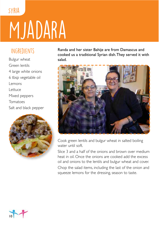## MJADARA SYRIA

#### Ingredients

Bulgur wheat Green lentils 4 large white onions 6 tbsp vegetable oil Lemons Lettuce Mixed peppers Tomatoes Salt and black pepper



Randa and her sister Bahije are from Damascus and cooked us a traditional Syrian dish. They served it with salad.



Cook green lentils and bulgur wheat in salted boiling water until soft.

Slice 3 and a half of the onions and brown over medium heat in oil. Once the onions are cooked add the excess oil and onions to the lentils and bulgur wheat and cover.

Chop the salad items, including the last of the onion and squeeze lemons for the dressing, season to taste.

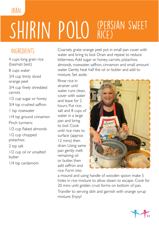#### **IRAN**

### SHIRIN POLO (PERSIAN SWEET rice)

#### **INGREDIENTS**

4 cups long grain rice (basmati best) 8 cups water 3/4 cup thinly sliced orange peel 3/4 cup fnely shredded carrots 1/2 cup sugar or honey 3/4 tsp crushed saffron 1 tsp rosewater 1/4 tsp ground cinnamon Pinch turmeric 1/2 cup faked almonds 1/2 cup chopped pistachios 2 tsp salt 1/2 cup oil or unsalted butter 1/4 tsp cardamom

Coarsely grate orange peel put in small pan cover with water and bring to boil. Drain and repeat to reduce bitterness. Add sugar or honey, carrots, pistachios, almonds, rosewater, saffron, cinnamon and small amount water. Gently heat half the oil or butter and add to mixture. Set aside.

Rinse rice in strainer until water runs clean cover with water and leave for 2 hours. Put rice, salt and 8 cups of water in a large pan and bring to boil. Cook until rice rises to surface (approx 12 mins) then drain. Using same pan gently melt remaining oil or butter, then add saffron and rice. Form into



a mound and using handle of wooden spoon make 5 holes in rice mixture to allow steam to escape. Cook for 20 mins until golden crust forms on bottom of pan.

Transfer to serving dish and garnish with orange syrup mixture. Enjoy!